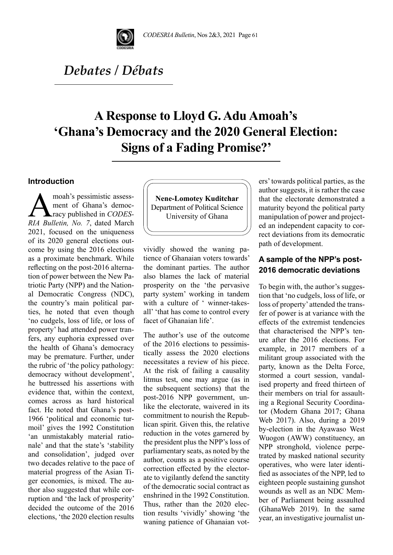

# *Debates / Débats*

# **A Response to Lloyd G. Adu Amoah's 'Ghana's Democracy and the 2020 General Election: Signs of a Fading Promise?'**

## **Introduction**

moah's pessimistic assess-<br>ment of Ghana's democ-<br>RIA Bulletin No. 7 dated March ment of Ghana's democracy published in *CODES-RIA Bulletin, No. 7*, dated March 2021, focused on the uniqueness of its 2020 general elections outcome by using the 2016 elections as a proximate benchmark. While reflecting on the post-2016 alternation of power between the New Patriotic Party (NPP) and the National Democratic Congress (NDC), the country's main political parties, he noted that even though 'no cudgels, loss of life, or loss of property' had attended power tranfers, any euphoria expressed over the health of Ghana's democracy may be premature. Further, under the rubric of 'the policy pathology: democracy without development', he buttressed his assertions with evidence that, within the context, comes across as hard historical fact. He noted that Ghana's post-1966 'political and economic turmoil' gives the 1992 Constitution 'an unmistakably material rationale' and that the state's 'stability and consolidation', judged over two decades relative to the pace of material progress of the Asian Tiger economies, is mixed. The author also suggested that while corruption and 'the lack of prosperity' decided the outcome of the 2016 elections, 'the 2020 election results

**Nene-Lomotey Kuditchar** Department of Political Science University of Ghana

vividly showed the waning patience of Ghanaian voters towards' the dominant parties. The author also blames the lack of material prosperity on the 'the pervasive party system' working in tandem with a culture of ' winner-takesall' 'that has come to control every facet of Ghanaian life'.

The author's use of the outcome of the 2016 elections to pessimistically assess the 2020 elections necessitates a review of his piece. At the risk of failing a causality litmus test, one may argue (as in the subsequent sections) that the post-2016 NPP government, unlike the electorate, waivered in its commitment to nourish the Republican spirit. Given this, the relative reduction in the votes garnered by the president plus the NPP's loss of parliamentary seats, as noted by the author, counts as a positive course correction effected by the electorate to vigilantly defend the sanctity of the democratic social contract as enshrined in the 1992 Constitution. Thus, rather than the 2020 election results 'vividly' showing 'the waning patience of Ghanaian voters' towards political parties, as the author suggests, it is rather the case that the electorate demonstrated a maturity beyond the political party manipulation of power and projected an independent capacity to correct deviations from its democratic path of development.

# **A sample of the NPP's post-2016 democratic deviations**

To begin with, the author's suggestion that 'no cudgels, loss of life, or loss of property' attended the transfer of power is at variance with the effects of the extremist tendencies that characterised the NPP's tenure after the 2016 elections. For example, in 2017 members of a militant group associated with the party, known as the Delta Force, stormed a court session, vandalised property and freed thirteen of their members on trial for assaulting a Regional Security Coordinator (Modern Ghana 2017; Ghana Web 2017). Also, during a 2019 by-election in the Ayawaso West Wuogon (AWW) constituency, an NPP stronghold, violence perpetrated by masked national security operatives, who were later identified as associates of the NPP, led to eighteen people sustaining gunshot wounds as well as an NDC Member of Parliament being assaulted (GhanaWeb 2019). In the same year, an investigative journalist un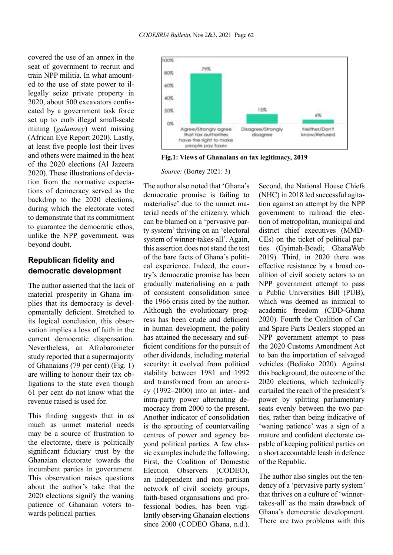covered the use of an annex in the seat of government to recruit and train NPP militia. In what amounted to the use of state power to illegally seize private property in 2020, about 500 excavators confiscated by a government task force set up to curb illegal small-scale mining (*galamsey*) went missing (African Eye Report 2020). Lastly, at least five people lost their lives and others were maimed in the heat of the 2020 elections (Al Jazeera 2020). These illustrations of deviation from the normative expectations of democracy served as the backdrop to the 2020 elections, during which the electorate voted to demonstrate that its commitment to guarantee the democratic ethos, unlike the NPP government, was beyond doubt.

# **Republican fidelity and democratic development**

The author asserted that the lack of material prosperity in Ghana implies that its democracy is developmentally deficient. Stretched to its logical conclusion, this observation implies a loss of faith in the current democratic dispensation. Nevertheless, an Afrobarometer study reported that a supermajority of Ghanaians (79 per cent) (Fig. 1) are willing to honour their tax obligations to the state even though 61 per cent do not know what the revenue raised is used for.

This finding suggests that in as much as unmet material needs may be a source of frustration to the electorate, there is politically significant fiduciary trust by the Ghanaian electorate towards the incumbent parties in government. This observation raises questions about the author's take that the 2020 elections signify the waning patience of Ghanaian voters towards political parties.



**Fig.1: Views of Ghanaians on tax legitimacy, 2019**

*Source:* (Bortey 2021: 3)

The author also noted that 'Ghana's democratic promise is failing to materialise' due to the unmet material needs of the citizenry, which can be blamed on a 'pervasive party system' thriving on an 'electoral system of winner-takes-all'. Again, this assertion does not stand the test of the bare facts of Ghana's political experience. Indeed, the country's democratic promise has been gradually materialising on a path of consistent consolidation since the 1966 crisis cited by the author. Although the evolutionary progress has been crude and deficient in human development, the polity has attained the necessary and sufficient conditions for the pursuit of other dividends, including material security: it evolved from political stability between 1981 and 1992 and transformed from an anocracy (1992–2000) into an inter- and intra-party power alternating democracy from 2000 to the present. Another indicator of consolidation is the sprouting of countervailing centres of power and agency beyond political parties. A few classic examples include the following. First, the Coalition of Domestic Election Observers (CODEO), an independent and non-partisan network of civil society groups, faith-based organisations and professional bodies, has been vigilantly observing Ghanaian elections since 2000 (CODEO Ghana, n.d.).

Second, the National House Chiefs (NHC) in 2018 led successful agitation against an attempt by the NPP government to railroad the election of metropolitan, municipal and district chief executives (MMD-CEs) on the ticket of political parties (Gyimah-Boadi; GhanaWeb 2019). Third, in 2020 there was effective resistance by a broad coalition of civil society actors to an NPP government attempt to pass a Public Universities Bill (PUB), which was deemed as inimical to academic freedom (CDD-Ghana 2020). Fourth the Coalition of Car and Spare Parts Dealers stopped an NPP government attempt to pass the 2020 Customs Amendment Act to ban the importation of salvaged vehicles (Bediako 2020). Against this background, the outcome of the 2020 elections, which technically curtailed the reach of the president's power by splitting parliamentary seats evenly between the two parties, rather than being indicative of 'waning patience' was a sign of a mature and confident electorate capable of keeping political parties on a short accountable leash in defence of the Republic.

The author also singles out the tendency of a 'pervasive party system' that thrives on a culture of 'winnertakes-all' as the main drawback of Ghana's democratic development. There are two problems with this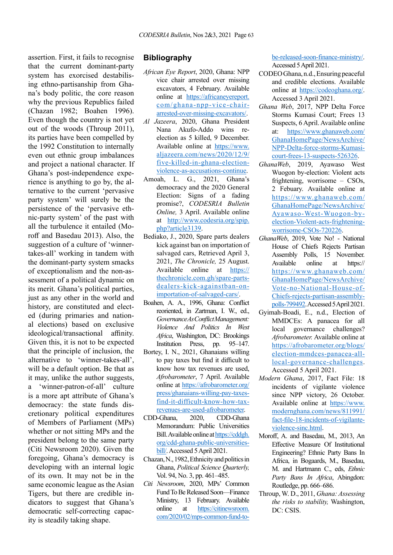assertion. First, it fails to recognise that the current dominant-party system has exorcised destabilising ethno-partisanship from Ghana's body politic, the core reason why the previous Republics failed (Chazan 1982; Boahen 1996). Even though the country is not yet out of the woods (Throup 2011), its parties have been compelled by the 1992 Constitution to internally even out ethnic group imbalances and project a national character. If Ghana's post-independence experience is anything to go by, the alternative to the current 'pervasive party system' will surely be the persistence of the 'pervasive ethnic-party system' of the past with all the turbulence it entailed (Moroff and Basedau 2013). Also, the suggestion of a culture of 'winnertakes-all' working in tandem with the dominant-party system smacks of exceptionalism and the non-assessment of a political dynamic on its merit. Ghana's political parties, just as any other in the world and history, are constituted and elected (during primaries and national elections) based on exclusive ideological/transactional affinity. Given this, it is not to be expected that the principle of inclusion, the alternative to 'winner-takes-all', will be a default option. Be that as it may, unlike the author suggests, a 'winner-patron-of-all' culture is a more apt attribute of Ghana's democracy: the state funds discretionary political expenditures of Members of Parliament (MPs) whether or not sitting MPs and the president belong to the same party (Citi Newsroom 2020). Given the foregoing, Ghana's democracy is developing with an internal logic of its own. It may not be in the same economic league as the Asian Tigers, but there are credible indicators to suggest that Ghana's democratic self-correcting capacity is steadily taking shape.

## **Bibliography**

- *African Eye Report*, 2020, Ghana: NPP vice chair arrested over missing excavators, 4 February. Available online at [https://africaneyereport.](https://africaneyereport.com/ghana-npp-vice-chair-arrested-over-missing-excavators/) [com/ghana-npp-vice-chair](https://africaneyereport.com/ghana-npp-vice-chair-arrested-over-missing-excavators/)[arrested-over-missing-excavators/](https://africaneyereport.com/ghana-npp-vice-chair-arrested-over-missing-excavators/).
- *Al Jazeera*, 2020, Ghana President Nana Akufo-Addo wins reelection as 5 killed, 9 December. Available online at [https://www.](https://www.aljazeera.com/news/2020/12/9/five-killed-in-ghana-election-violence-as-accusations-continue) [aljazeera.com/news/2020/12/9/](https://www.aljazeera.com/news/2020/12/9/five-killed-in-ghana-election-violence-as-accusations-continue) [five-killed-in-ghana-election](https://www.aljazeera.com/news/2020/12/9/five-killed-in-ghana-election-violence-as-accusations-continue)[violence-as-accusations-continue](https://www.aljazeera.com/news/2020/12/9/five-killed-in-ghana-election-violence-as-accusations-continue).
- Amoah, L. G., 2021, Ghana's democracy and the 2020 General Election: Signs of a fading promise?, *CODESRIA Bulletin Online,* 3 April. Available online at [http://www.codesria.org/spip.](http://www.codesria.org/spip.php?article3139) [php?article3139.](http://www.codesria.org/spip.php?article3139)
- Bediako, J., 2020, Spare parts dealers kick against ban on importation of salvaged cars, Retrieved April 3, 2021, *The Chronicle,* 25 August. Available online at [https://](https://thechronicle.com.gh/spare-parts-dealers-kick-againstban-on-importation-of-salvaged-cars/) [thechronicle.com.gh/spare-parts](https://thechronicle.com.gh/spare-parts-dealers-kick-againstban-on-importation-of-salvaged-cars/)[dealers-kick-againstban-on](https://thechronicle.com.gh/spare-parts-dealers-kick-againstban-on-importation-of-salvaged-cars/)[importation-of-salvaged-cars/.](https://thechronicle.com.gh/spare-parts-dealers-kick-againstban-on-importation-of-salvaged-cars/)
- Boahen, A. A., 1996, Ghana: Conflict reoriented, in Zartman, I. W., ed., *Governance As Conflict Management: Violence And Politics In West Africa*, Washington, DC: Brookings Institution Press, pp. 95–147.
- Bortey, I. N., 2021, Ghanaians willing to pay taxes but find it difficult to know how tax revenues are used, *Afrobarometer*, 7 April. Available online at [https://afrobarometer.org/](https://afrobarometer.org/press/ghanaians-willing-pay-taxes-find-it-difficult-know-how-tax-revenues-are-used-afrobarometer) [press/ghanaians-willing-pay-taxes](https://afrobarometer.org/press/ghanaians-willing-pay-taxes-find-it-difficult-know-how-tax-revenues-are-used-afrobarometer)[find-it-difficult-know-how-tax](https://afrobarometer.org/press/ghanaians-willing-pay-taxes-find-it-difficult-know-how-tax-revenues-are-used-afrobarometer)[revenues-are-used-afrobarometer](https://afrobarometer.org/press/ghanaians-willing-pay-taxes-find-it-difficult-know-how-tax-revenues-are-used-afrobarometer).
- CDD-Ghana, 2020, CDD-Ghana Memorandum: Public Universities Bill. Available online at [https://cddgh.](https://cddgh.org/cdd-ghana-public-universities-bill/) [org/cdd-ghana-public-universities](https://cddgh.org/cdd-ghana-public-universities-bill/)[bill/.](https://cddgh.org/cdd-ghana-public-universities-bill/) Accessed 5 April 2021.
- Chazan, N., 1982, Ethnicity and politics in Ghana, *Political Science Quarterly,*  Vol. 94, No. 3, pp. 461–485.
- *Citi Newsroom*, 2020, MPs' Common Fund To Be Released Soon—Finance Ministry, 13 February. Available online at [https://citinewsroom.](https://citinewsroom.com/2020/02/mps-common-fund-to-be-released-soon-finance-ministry/) [com/2020/02/mps-common-fund-to-](https://citinewsroom.com/2020/02/mps-common-fund-to-be-released-soon-finance-ministry/)

[be-released-soon-finance-ministry/](https://citinewsroom.com/2020/02/mps-common-fund-to-be-released-soon-finance-ministry/). Accessed 5 April 2021.

- CODEO Ghana, n.d., Ensuring peaceful and credible elections. Available online at <https://codeoghana.org/>. Accessed 3 April 2021.
- *Ghana Web*, 2017, NPP Delta Force Storms Kumasi Court; Frees 13 Suspects, 6 April. Available online at: [https://www.ghanaweb.com/](https://www.ghanaweb.com/GhanaHomePage/NewsArchive/NPP-Delta-force-storms-Kumasi-court-frees-13-suspects-526326) [GhanaHomePage/NewsArchive/](https://www.ghanaweb.com/GhanaHomePage/NewsArchive/NPP-Delta-force-storms-Kumasi-court-frees-13-suspects-526326) [NPP-Delta-force-storms-Kumasi](https://www.ghanaweb.com/GhanaHomePage/NewsArchive/NPP-Delta-force-storms-Kumasi-court-frees-13-suspects-526326)[court-frees-13-suspects-526326.](https://www.ghanaweb.com/GhanaHomePage/NewsArchive/NPP-Delta-force-storms-Kumasi-court-frees-13-suspects-526326)
- *GhanaWeb*, 2019, Ayawaso West Wuogon by-election: Violent acts frightening, worrisome – CSOs, 2 Febuary. Available online at [https://www.ghanaweb.com/](https://www.ghanaweb.com/GhanaHomePage/NewsArchive/Ayawaso-West-Wuogon-by-election-Violent-acts-frightening-worrisome-CSOs-720226) [GhanaHomePage/NewsArchive/](https://www.ghanaweb.com/GhanaHomePage/NewsArchive/Ayawaso-West-Wuogon-by-election-Violent-acts-frightening-worrisome-CSOs-720226) [Ayawaso-West-Wuogon-by](https://www.ghanaweb.com/GhanaHomePage/NewsArchive/Ayawaso-West-Wuogon-by-election-Violent-acts-frightening-worrisome-CSOs-720226)[election-Violent-acts-frightening](https://www.ghanaweb.com/GhanaHomePage/NewsArchive/Ayawaso-West-Wuogon-by-election-Violent-acts-frightening-worrisome-CSOs-720226)[worrisome-CSOs-720226.](https://www.ghanaweb.com/GhanaHomePage/NewsArchive/Ayawaso-West-Wuogon-by-election-Violent-acts-frightening-worrisome-CSOs-720226)
- *GhanaWeb*, 2019, Vote No! National House of Chiefs Rejects Partisan Assembly Polls, 15 November. Available online at https:// [https://www.ghanaweb.com/](https://www.ghanaweb.com/GhanaHomePage/NewsArchive/Vote-no-National-House-of-Chiefs-rejects-partisan-assembly-polls-799492) [GhanaHomePage/NewsArchive/](https://www.ghanaweb.com/GhanaHomePage/NewsArchive/Vote-no-National-House-of-Chiefs-rejects-partisan-assembly-polls-799492) [Vote-no-National-House-of-](https://www.ghanaweb.com/GhanaHomePage/NewsArchive/Vote-no-National-House-of-Chiefs-rejects-partisan-assembly-polls-799492)[Chiefs-rejects-partisan-assembly](https://www.ghanaweb.com/GhanaHomePage/NewsArchive/Vote-no-National-House-of-Chiefs-rejects-partisan-assembly-polls-799492)[polls-799492](https://www.ghanaweb.com/GhanaHomePage/NewsArchive/Vote-no-National-House-of-Chiefs-rejects-partisan-assembly-polls-799492). Accessed 5 April 2021.
- Gyimah-Boadi, E., n.d., Election of MMDCEs: A panacea for all local governance challenges? *Afrobarometer.* Available online at [https://afrobarometer.org/blogs/](https://afrobarometer.org/blogs/election-mmdces-panacea-all-local-governance-challenges) [election-mmdces-panacea-all](https://afrobarometer.org/blogs/election-mmdces-panacea-all-local-governance-challenges)[local-governance-challenges](https://afrobarometer.org/blogs/election-mmdces-panacea-all-local-governance-challenges). Accessed 5 April 2021.
- *Modern Ghana*, 2017, Fact File: 18 incidents of vigilante violence since NPP victory, 26 October. Available online at [https://www.](https://www.modernghana.com/news/811991/fact-file-18-incidents-of-vigilante-violence-sinc.html) [modernghana.com/news/811991/](https://www.modernghana.com/news/811991/fact-file-18-incidents-of-vigilante-violence-sinc.html) [fact-file-18-incidents-of-vigilante](https://www.modernghana.com/news/811991/fact-file-18-incidents-of-vigilante-violence-sinc.html)[violence-sinc.html.](https://www.modernghana.com/news/811991/fact-file-18-incidents-of-vigilante-violence-sinc.html)
- Moroff, A. and Basedau, M., 2013, An Effective Measure Of Institutional Engineering? Ethnic Party Bans In Africa, in Bogaards, M., Basedau, M. and Hartmann C., eds, *Ethnic Party Bans In Africa*, Abingdon: Routledge, pp. 666–686.
- Throup, W. D., 2011, *Ghana: Assessing the risks to stability,* Washington, DC: CSIS.